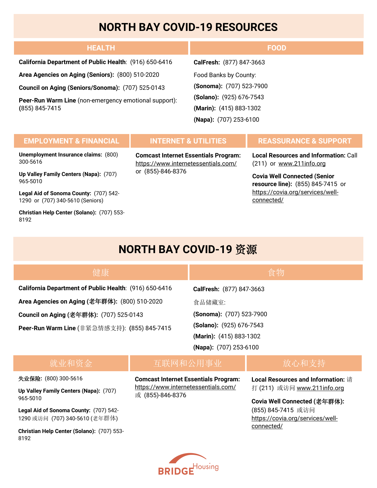## **NORTH BAY COVID-19 RESOURCES**

| <b>HEALTH</b>                                                           | <b>FOOD</b>              |
|-------------------------------------------------------------------------|--------------------------|
| California Department of Public Health: (916) 650-6416                  | CalFresh: (877) 847-3663 |
| Area Agencies on Aging (Seniors): (800) 510-2020                        | Food Banks by County:    |
| Council on Aging (Seniors/Sonoma): (707) 525-0143                       | (Sonoma): (707) 523-7900 |
| Peer-Run Warm Line (non-emergency emotional support):<br>(855) 845-7415 | (Solano): (925) 676-7543 |
|                                                                         | (Marin): (415) 883-1302  |
|                                                                         | (Napa): (707) 253-6100   |

### **EMPLOYMENT & FINANCIAL INTERNET & UTILITIES REASSURANCE & SUPPORT**

**Unemployment Insurance claims:** (800) 300-5616

**Up Valley Family Centers (Napa):** (707) 965-5010

**Legal Aid of Sonoma County:** (707) 542- 1290 or (707) 340-5610 (Seniors)

**Christian Help Center (Solano):** (707) 553- 8192

**Comcast Internet Essentials Program:**  <https://www.internetessentials.com/> or (855)-846-8376

**Local Resources and Information:** Call (211) or [www.211info.org](http://www.211info.org/)

**Covia Well Connected (Senior resource line):** (855) 845-7415 or [https://covia.org/services/well](https://covia.org/services/well-connected/)[connected/](https://covia.org/services/well-connected/)

## **NORTH BAY COVID-19** 资源

| 健康                                                     |                          |                          | 食物            |
|--------------------------------------------------------|--------------------------|--------------------------|---------------|
| California Department of Public Health: (916) 650-6416 |                          | CalFresh: (877) 847-3663 |               |
| Area Agencies on Aging (老年群体): (800) 510-2020          |                          | 食品储藏室:                   |               |
| <b>Council on Aging (老年群体): (707) 525-0143</b>         |                          | (Sonoma): (707) 523-7900 |               |
| Peer-Run Warm Line (非紧急情感支持): (855) 845-7415           | (Solano): (925) 676-7543 |                          |               |
|                                                        | (Marin): (415) 883-1302  |                          |               |
|                                                        |                          | (Napa): (707) 253-6100   |               |
| <del>之</del> 医,日,イ后之之一人。                               |                          | 元武英司杰 八 田 击进             | キム いーてロート・キモー |

### 就业和资金

## 互联网和公用事业

#### 失业保险**:** (800) 300-5616

**Up Valley Family Centers (Napa):** (707) 965-5010

**Legal Aid of Sonoma County:** (707) 542- 1290 或访问 (707) 340-5610 (老年群体)

**Christian Help Center (Solano):** (707) 553- 8192

**Comcast Internet Essentials Program:**  <https://www.internetessentials.com/> 或 (855)-846-8376

**Local Resources and Information:** 请 打 (211) 或访问 [www.211info.org](http://www.211info.org/)

**Covia Well Connected (**老年群体**):**  (855) 845-7415 或访问 [https://covia.org/services/well](https://covia.org/services/well-connected/)[connected/](https://covia.org/services/well-connected/)

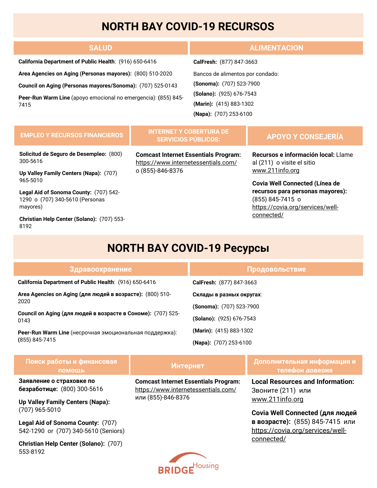# **NORTH BAY COVID-19 RECURSOS**

| <b>SALUD</b>                                                           | <b>ALIMENTACION</b>              |  |
|------------------------------------------------------------------------|----------------------------------|--|
| California Department of Public Health: (916) 650-6416                 | CalFresh: (877) 847-3663         |  |
| Area Agencies on Aging (Personas mayores): (800) 510-2020              | Bancos de alimentos por condado: |  |
| Council on Aging (Personas mayores/Sonoma): (707) 525-0143             | (Sonoma): (707) 523-7900         |  |
| Peer-Run Warm Line (apoyo emocional no emergencia): (855) 845-<br>7415 | (Solano): (925) 676-7543         |  |
|                                                                        | (Marin): (415) 883-1302          |  |
|                                                                        | (Napa): (707) 253-6100           |  |

#### **EMPLEO Y RECURSOS FINANCIEROS**

#### **INTERNET Y COBERTURA DE SERVICIOS PÚBLICOS:**

**Solicitud de Seguro de Desempleo:** (800) 300-5616

**Up Valley Family Centers (Napa):** (707) 965-5010

**Legal Aid of Sonoma County:** (707) 542- 1290 o (707) 340-5610 (Personas mayores)

**Christian Help Center (Solano):** (707) 553- 8192

**Comcast Internet Essentials Program:**  <https://www.internetessentials.com/> o (855)-846-8376

### **APOYO Y CONSEJERÍA**

**Recursos e información local:** Llame al (211) o visite el sitio [www.211info.org](http://www.211info.org/)

**Covia Well Connected (Línea de recursos para personas mayores):**  (855) 845-7415 o [https://covia.org/services/well](https://covia.org/services/well-connected/)[connected/](https://covia.org/services/well-connected/)

# **NORTH BAY COVID-19 Ресурсы**

| Здравоохранение                                                                                                                           | Продовольствие             |
|-------------------------------------------------------------------------------------------------------------------------------------------|----------------------------|
| California Department of Public Health: (916) 650-6416                                                                                    | CalFresh: (877) 847-3663   |
| Area Agencies on Aging (для людей в возрасте): (800) 510-<br>2020<br>Council on Aging (для людей в возрасте в Сономе): (707) 525-<br>0143 | Склады в разных округах:   |
|                                                                                                                                           | (Sonoma): (707) 523-7900   |
|                                                                                                                                           | $(Solano): (925) 676-7543$ |
| <b>Peer-Run Warm Line</b> (несрочная эмоциональная поддержка):<br>(855) 845-7415                                                          | (Marin): (415) 883-1302    |
|                                                                                                                                           | (Napa): (707) 253-6100     |

| Поиск работы и финансовая<br>ПОМОШЬ                     | <b>Интернет</b>                                                                    | И Дополнительная информация и<br>телефон доверия             |
|---------------------------------------------------------|------------------------------------------------------------------------------------|--------------------------------------------------------------|
| Заявление о страховке по<br>безработице: (800) 300-5616 | <b>Comcast Internet Essentials Program:</b><br>https://www.internetessentials.com/ | <b>Local Resources and Information:</b><br>Звоните (211) или |
| <b>Iln Valley Family Centers (Nana)</b>                 | или (855)-846-8376                                                                 | www.211info.org                                              |

**Covia Well Connected (для людей в возрасте):** (855) 845-7415 или [https://covia.org/services/well](https://covia.org/services/well-connected/)[connected/](https://covia.org/services/well-connected/)

**Up Valley Family Centers (Napa):**  (707) 965-5010

**Legal Aid of Sonoma County:** (707) 542-1290 or (707) 340-5610 (Seniors)

**Christian Help Center (Solano):** (707) 553-8192